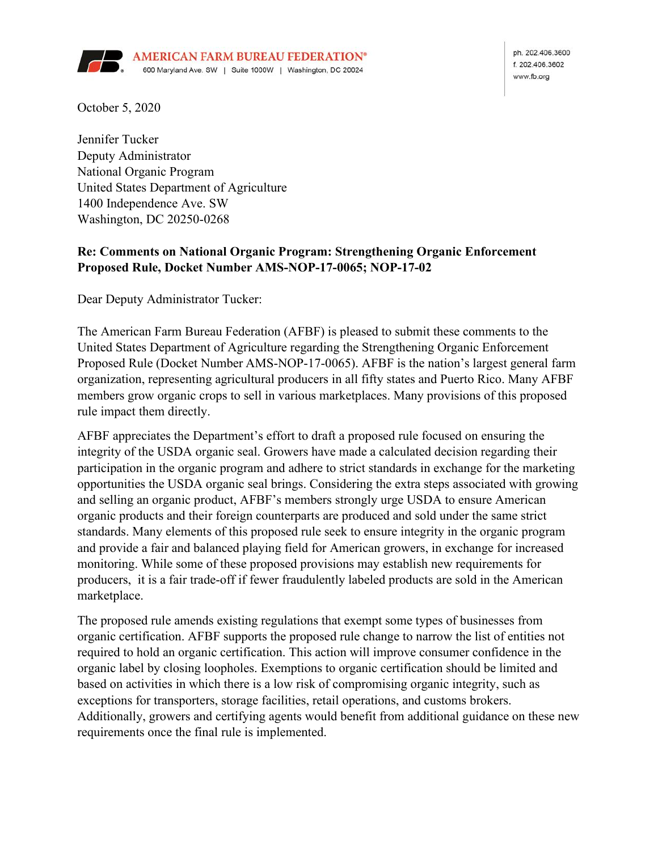

ph. 202.406.3600 f 202 406 3602 www.fb.org

October 5, 2020

Jennifer Tucker Deputy Administrator National Organic Program United States Department of Agriculture 1400 Independence Ave. SW Washington, DC 20250-0268

## **Re: Comments on National Organic Program: Strengthening Organic Enforcement Proposed Rule, Docket Number AMS-NOP-17-0065; NOP-17-02**

Dear Deputy Administrator Tucker:

The American Farm Bureau Federation (AFBF) is pleased to submit these comments to the United States Department of Agriculture regarding the Strengthening Organic Enforcement Proposed Rule (Docket Number AMS-NOP-17-0065). AFBF is the nation's largest general farm organization, representing agricultural producers in all fifty states and Puerto Rico. Many AFBF members grow organic crops to sell in various marketplaces. Many provisions of this proposed rule impact them directly.

AFBF appreciates the Department's effort to draft a proposed rule focused on ensuring the integrity of the USDA organic seal. Growers have made a calculated decision regarding their participation in the organic program and adhere to strict standards in exchange for the marketing opportunities the USDA organic seal brings. Considering the extra steps associated with growing and selling an organic product, AFBF's members strongly urge USDA to ensure American organic products and their foreign counterparts are produced and sold under the same strict standards. Many elements of this proposed rule seek to ensure integrity in the organic program and provide a fair and balanced playing field for American growers, in exchange for increased monitoring. While some of these proposed provisions may establish new requirements for producers, it is a fair trade-off if fewer fraudulently labeled products are sold in the American marketplace.

The proposed rule amends existing regulations that exempt some types of businesses from organic certification. AFBF supports the proposed rule change to narrow the list of entities not required to hold an organic certification. This action will improve consumer confidence in the organic label by closing loopholes. Exemptions to organic certification should be limited and based on activities in which there is a low risk of compromising organic integrity, such as exceptions for transporters, storage facilities, retail operations, and customs brokers. Additionally, growers and certifying agents would benefit from additional guidance on these new requirements once the final rule is implemented.